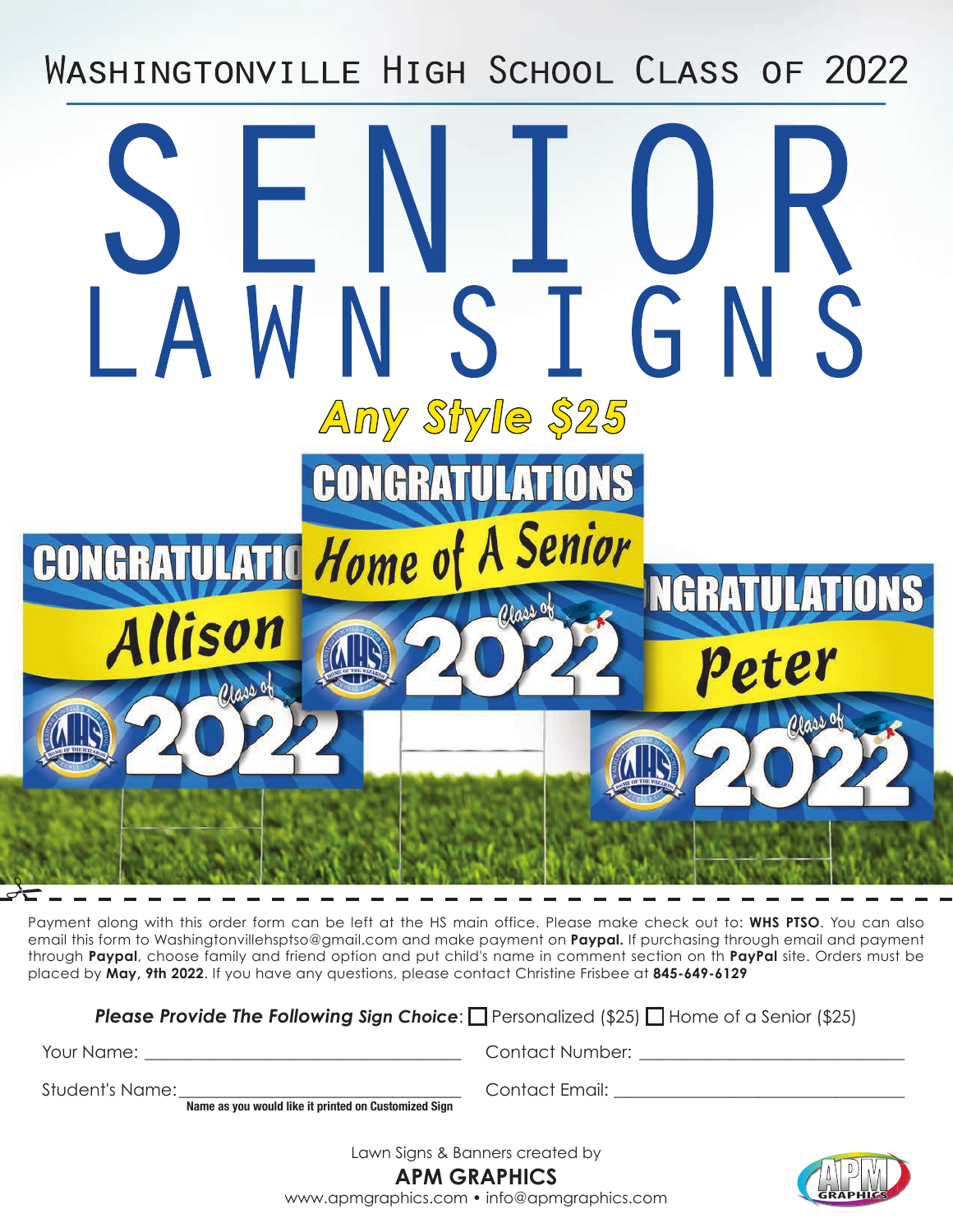WASHINGTONVILLE HIGH SCHOOL CLASS OF 2022

## STGN Any Style \$25 CONGRAT ATIO CONGRATULATIC Home of A Senior **NGRATULATIONS** llison p<sub>eter</sub>  $\frac{1}{\sqrt{2}}$

Payment along with this order form can be left at the HS main office. Please make check out to: **WHS PTSO**. You can also email this form to Washingtonvillehsptso@gmail.com and make payment on **Paypal.** If purchasing through email and payment through **Paypal**, choose family and friend option and put child's name in comment section on th **PayPal** site. Orders must be placed by **May, 9th 2022**. If you have any questions, please contact Christine Frisbee at **845-649-6129**

**Please Provide The Following Sign Choice:**  $\Box$  Personalized (\$25)  $\Box$  Home of a Senior (\$25)

Your Name:  $\Box$ 

Contact Number: \_\_\_\_\_\_\_\_\_\_\_\_\_\_\_\_\_\_\_\_\_\_\_\_\_\_\_\_\_\_\_

Student's Name:

**Name as you would like it printed on Customized Sign**

Contact Email:  $\blacksquare$ 

Lawn Signs & Banners created by



**APM GRAPHICS** www.apmgraphics.com • info@apmgraphics.com